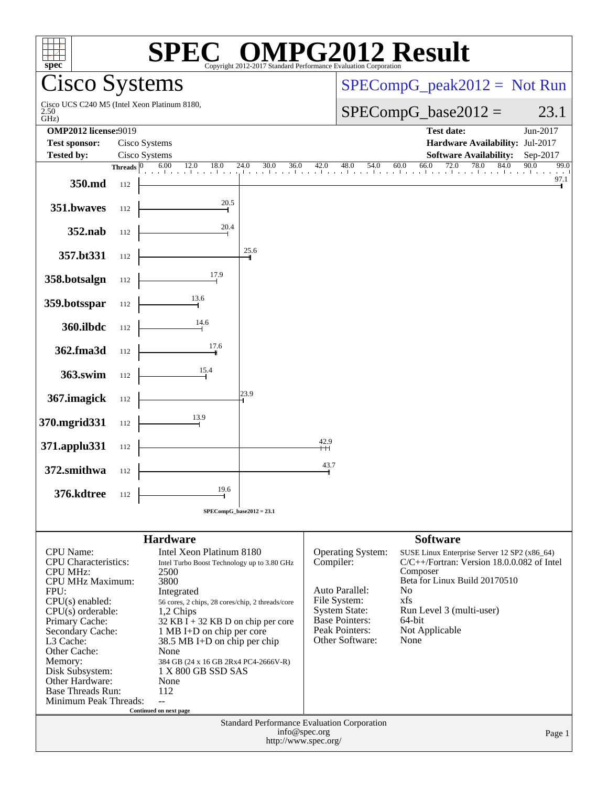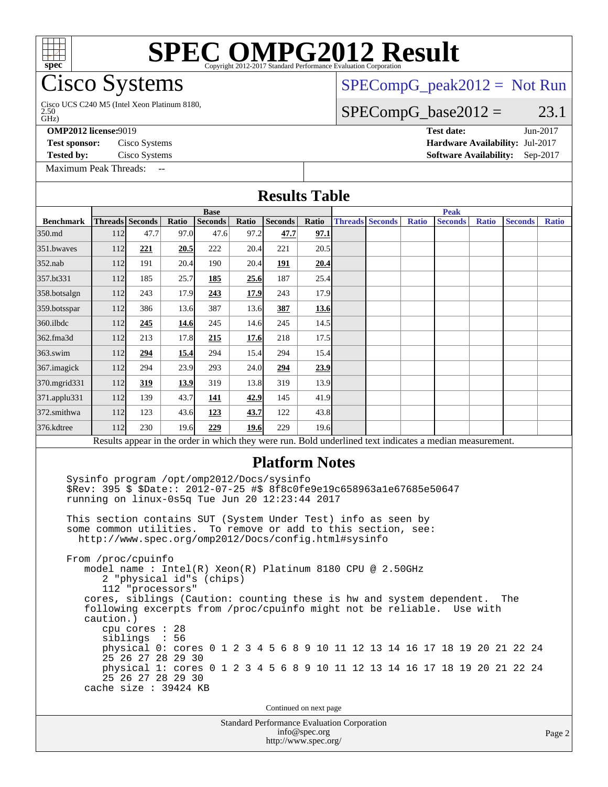#### **[SPEC OMPG2012 Result](http://www.spec.org/auto/omp2012/Docs/result-fields.html#SPECOMPG2012Result) Cisco Systems** GHz) 2.50 Cisco UCS C240 M5 (Intel Xeon Platinum 8180,  $SPECompG_peak2012 = Not Run$  $SPECompG_peak2012 = Not Run$  $SPECompG_base2012 = 23.1$  $SPECompG_base2012 = 23.1$ **[OMP2012 license:](http://www.spec.org/auto/omp2012/Docs/result-fields.html#OMP2012license)**9019 **[Test date:](http://www.spec.org/auto/omp2012/Docs/result-fields.html#Testdate)** Jun-2017 **[Test sponsor:](http://www.spec.org/auto/omp2012/Docs/result-fields.html#Testsponsor)** Cisco Systems **[Hardware Availability:](http://www.spec.org/auto/omp2012/Docs/result-fields.html#HardwareAvailability)** Jul-2017 **[Tested by:](http://www.spec.org/auto/omp2012/Docs/result-fields.html#Testedby)** Cisco Systems **[Software Availability:](http://www.spec.org/auto/omp2012/Docs/result-fields.html#SoftwareAvailability)** Sep-2017 [Maximum Peak Threads:](http://www.spec.org/auto/omp2012/Docs/result-fields.html#MaximumPeakThreads) **[Results Table](http://www.spec.org/auto/omp2012/Docs/result-fields.html#ResultsTable) [Benchmark](http://www.spec.org/auto/omp2012/Docs/result-fields.html#Benchmark) [Threads](http://www.spec.org/auto/omp2012/Docs/result-fields.html#Threads) [Seconds](http://www.spec.org/auto/omp2012/Docs/result-fields.html#Seconds) [Ratio](http://www.spec.org/auto/omp2012/Docs/result-fields.html#Ratio) [Seconds](http://www.spec.org/auto/omp2012/Docs/result-fields.html#Seconds) [Ratio](http://www.spec.org/auto/omp2012/Docs/result-fields.html#Ratio) [Seconds](http://www.spec.org/auto/omp2012/Docs/result-fields.html#Seconds) [Ratio](http://www.spec.org/auto/omp2012/Docs/result-fields.html#Ratio) Base [Threads](http://www.spec.org/auto/omp2012/Docs/result-fields.html#Threads) [Seconds](http://www.spec.org/auto/omp2012/Docs/result-fields.html#Seconds) [Ratio](http://www.spec.org/auto/omp2012/Docs/result-fields.html#Ratio) [Seconds](http://www.spec.org/auto/omp2012/Docs/result-fields.html#Seconds) [Ratio](http://www.spec.org/auto/omp2012/Docs/result-fields.html#Ratio) [Seconds](http://www.spec.org/auto/omp2012/Docs/result-fields.html#Seconds) [Ratio](http://www.spec.org/auto/omp2012/Docs/result-fields.html#Ratio) Peak** [350.md](http://www.spec.org/auto/omp2012/Docs/350.md.html) 112 47.7 97.0 47.6 97.2 **[47.7](http://www.spec.org/auto/omp2012/Docs/result-fields.html#Median) [97.1](http://www.spec.org/auto/omp2012/Docs/result-fields.html#Median)** [351.bwaves](http://www.spec.org/auto/omp2012/Docs/351.bwaves.html) 112 [221](http://www.spec.org/auto/omp2012/Docs/result-fields.html#Median) [20.5](http://www.spec.org/auto/omp2012/Docs/result-fields.html#Median) 222 20.4 221 20.5 [352.nab](http://www.spec.org/auto/omp2012/Docs/352.nab.html) 112 191 20.4 190 20.4 **[191](http://www.spec.org/auto/omp2012/Docs/result-fields.html#Median) [20.4](http://www.spec.org/auto/omp2012/Docs/result-fields.html#Median)** [357.bt331](http://www.spec.org/auto/omp2012/Docs/357.bt331.html) 112 185 25.7 **[185](http://www.spec.org/auto/omp2012/Docs/result-fields.html#Median) [25.6](http://www.spec.org/auto/omp2012/Docs/result-fields.html#Median)** 187 25.4 [358.botsalgn](http://www.spec.org/auto/omp2012/Docs/358.botsalgn.html) 112 243 17.9 **[243](http://www.spec.org/auto/omp2012/Docs/result-fields.html#Median) [17.9](http://www.spec.org/auto/omp2012/Docs/result-fields.html#Median)** 243 17.9 [359.botsspar](http://www.spec.org/auto/omp2012/Docs/359.botsspar.html) 112 386 13.6 387 13.6 **[387](http://www.spec.org/auto/omp2012/Docs/result-fields.html#Median) [13.6](http://www.spec.org/auto/omp2012/Docs/result-fields.html#Median)** [360.ilbdc](http://www.spec.org/auto/omp2012/Docs/360.ilbdc.html) 112 **[245](http://www.spec.org/auto/omp2012/Docs/result-fields.html#Median) [14.6](http://www.spec.org/auto/omp2012/Docs/result-fields.html#Median)** 245 14.6 245 14.5 [362.fma3d](http://www.spec.org/auto/omp2012/Docs/362.fma3d.html) 112 213 17.8 **[215](http://www.spec.org/auto/omp2012/Docs/result-fields.html#Median) [17.6](http://www.spec.org/auto/omp2012/Docs/result-fields.html#Median)** 218 17.5 [363.swim](http://www.spec.org/auto/omp2012/Docs/363.swim.html) 112 **[294](http://www.spec.org/auto/omp2012/Docs/result-fields.html#Median) [15.4](http://www.spec.org/auto/omp2012/Docs/result-fields.html#Median)** 294 15.4 294 15.4 [367.imagick](http://www.spec.org/auto/omp2012/Docs/367.imagick.html) 112 294 23.9 293 24.0 **[294](http://www.spec.org/auto/omp2012/Docs/result-fields.html#Median) [23.9](http://www.spec.org/auto/omp2012/Docs/result-fields.html#Median)** [370.mgrid331](http://www.spec.org/auto/omp2012/Docs/370.mgrid331.html) 112 **[319](http://www.spec.org/auto/omp2012/Docs/result-fields.html#Median) [13.9](http://www.spec.org/auto/omp2012/Docs/result-fields.html#Median)** 319 13.8 319 13.9 [371.applu331](http://www.spec.org/auto/omp2012/Docs/371.applu331.html) 112 139 43.7 **[141](http://www.spec.org/auto/omp2012/Docs/result-fields.html#Median) [42.9](http://www.spec.org/auto/omp2012/Docs/result-fields.html#Median)** 145 41.9 [372.smithwa](http://www.spec.org/auto/omp2012/Docs/372.smithwa.html) 112 123 43.6 **[123](http://www.spec.org/auto/omp2012/Docs/result-fields.html#Median) [43.7](http://www.spec.org/auto/omp2012/Docs/result-fields.html#Median)** 122 43.8 [376.kdtree](http://www.spec.org/auto/omp2012/Docs/376.kdtree.html) 112 230 19.6 **[229](http://www.spec.org/auto/omp2012/Docs/result-fields.html#Median) [19.6](http://www.spec.org/auto/omp2012/Docs/result-fields.html#Median)** 229 19.6 Results appear in the [order in which they were run.](http://www.spec.org/auto/omp2012/Docs/result-fields.html#RunOrder) Bold underlined text [indicates a median measurement.](http://www.spec.org/auto/omp2012/Docs/result-fields.html#Median) **[Platform Notes](http://www.spec.org/auto/omp2012/Docs/result-fields.html#PlatformNotes)** Sysinfo program /opt/omp2012/Docs/sysinfo \$Rev: 395 \$ \$Date:: 2012-07-25 #\$ 8f8c0fe9e19c658963a1e67685e50647 running on linux-0s5q Tue Jun 20 12:23:44 2017 This section contains SUT (System Under Test) info as seen by some common utilities. To remove or add to this section, see: <http://www.spec.org/omp2012/Docs/config.html#sysinfo> From /proc/cpuinfo model name : Intel(R) Xeon(R) Platinum 8180 CPU @ 2.50GHz 2 "physical id"s (chips) 112 "processors" cores, siblings (Caution: counting these is hw and system dependent. The following excerpts from /proc/cpuinfo might not be reliable. Use with caution.) cpu cores : 28 siblings : 56 physical 0: cores 0 1 2 3 4 5 6 8 9 10 11 12 13 14 16 17 18 19 20 21 22 24 25 26 27 28 29 30 physical 1: cores 0 1 2 3 4 5 6 8 9 10 11 12 13 14 16 17 18 19 20 21 22 24 25 26 27 28 29 30 cache size : 39424 KB

Continued on next page

Standard Performance Evaluation Corporation [info@spec.org](mailto:info@spec.org) <http://www.spec.org/>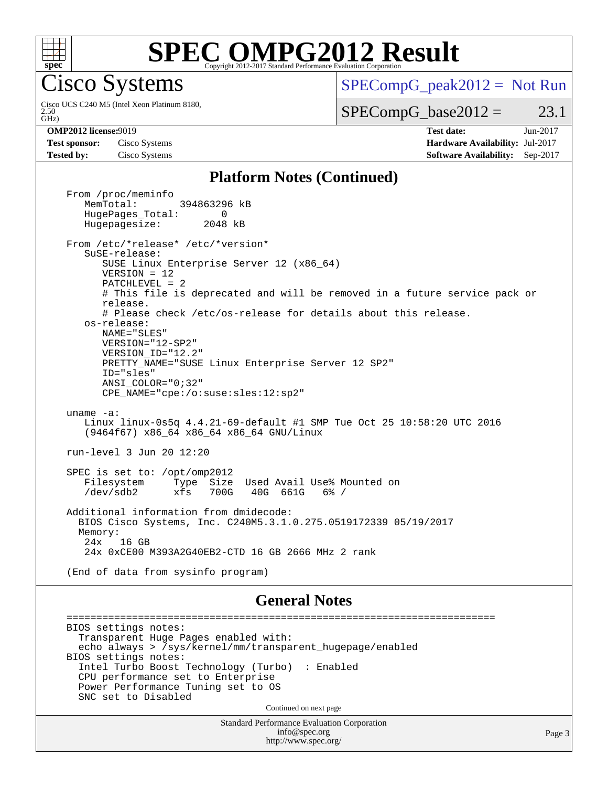

## **[SPEC OMPG2012 Result](http://www.spec.org/auto/omp2012/Docs/result-fields.html#SPECOMPG2012Result)**

Cisco Systems

GHz) 2.50 Cisco UCS C240 M5 (Intel Xeon Platinum 8180, [SPECompG\\_peak2012 =](http://www.spec.org/auto/omp2012/Docs/result-fields.html#SPECompGpeak2012) Not Run

 $SPECompG_base2012 = 23.1$  $SPECompG_base2012 = 23.1$ 

**[Test sponsor:](http://www.spec.org/auto/omp2012/Docs/result-fields.html#Testsponsor)** Cisco Systems **[Hardware Availability:](http://www.spec.org/auto/omp2012/Docs/result-fields.html#HardwareAvailability)** Jul-2017

**[OMP2012 license:](http://www.spec.org/auto/omp2012/Docs/result-fields.html#OMP2012license)**9019 **[Test date:](http://www.spec.org/auto/omp2012/Docs/result-fields.html#Testdate)** Jun-2017 **[Tested by:](http://www.spec.org/auto/omp2012/Docs/result-fields.html#Testedby)** Cisco Systems **[Software Availability:](http://www.spec.org/auto/omp2012/Docs/result-fields.html#SoftwareAvailability)** Sep-2017

### **[Platform Notes \(Continued\)](http://www.spec.org/auto/omp2012/Docs/result-fields.html#PlatformNotes)**

From /proc/meminfo<br>MemTotal: 394863296 kB HugePages\_Total: 0<br>Hugepagesize: 2048 kB Hugepagesize: From /etc/\*release\* /etc/\*version\* SuSE-release: SUSE Linux Enterprise Server 12 (x86\_64) VERSION = 12 PATCHLEVEL = 2 # This file is deprecated and will be removed in a future service pack or release. # Please check /etc/os-release for details about this release. os-release: NAME="SLES" VERSION="12-SP2" VERSION\_ID="12.2" PRETTY\_NAME="SUSE Linux Enterprise Server 12 SP2" ID="sles" ANSI\_COLOR="0;32" CPE\_NAME="cpe:/o:suse:sles:12:sp2" uname -a: Linux linux-0s5q 4.4.21-69-default #1 SMP Tue Oct 25 10:58:20 UTC 2016 (9464f67) x86\_64 x86\_64 x86\_64 GNU/Linux run-level 3 Jun 20 12:20 SPEC is set to: /opt/omp2012 Filesystem Type Size Used Avail Use% Mounted on /dev/sdb2 xfs 700G 40G 661G 6% / Additional information from dmidecode: BIOS Cisco Systems, Inc. C240M5.3.1.0.275.0519172339 05/19/2017 Memory: 24x 16 GB 24x 0xCE00 M393A2G40EB2-CTD 16 GB 2666 MHz 2 rank (End of data from sysinfo program)

#### **[General Notes](http://www.spec.org/auto/omp2012/Docs/result-fields.html#GeneralNotes)**

 ======================================================================== BIOS settings notes: Transparent Huge Pages enabled with: echo always > /sys/kernel/mm/transparent\_hugepage/enabled BIOS settings notes: Intel Turbo Boost Technology (Turbo) : Enabled CPU performance set to Enterprise Power Performance Tuning set to OS SNC set to Disabled Continued on next page

> Standard Performance Evaluation Corporation [info@spec.org](mailto:info@spec.org) <http://www.spec.org/>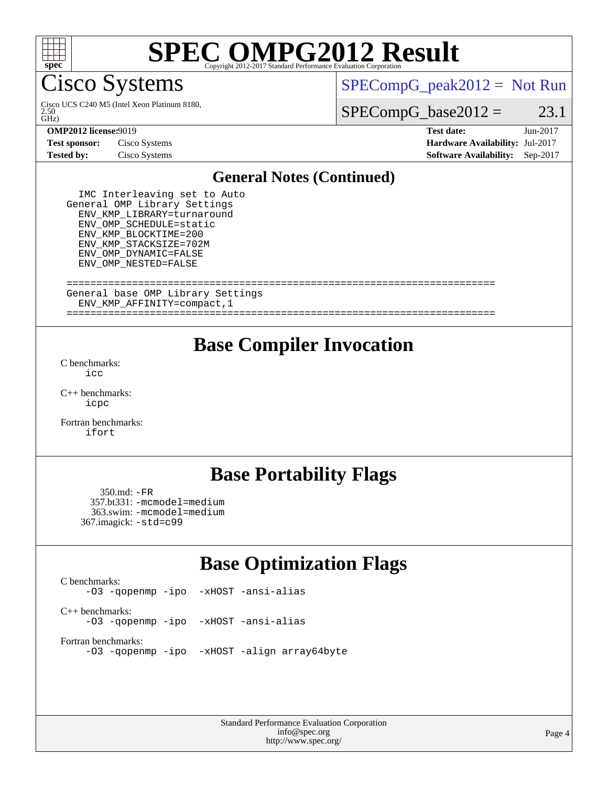

# **[SPEC OMPG2012 Result](http://www.spec.org/auto/omp2012/Docs/result-fields.html#SPECOMPG2012Result)**

Cisco Systems

 $\tilde{GHZ}$ 2.50 Cisco UCS C240 M5 (Intel Xeon Platinum 8180,  $SPECompG_peak2012 = Not Run$  $SPECompG_peak2012 = Not Run$ 

 $SPECompG_base2012 = 23.1$  $SPECompG_base2012 = 23.1$ 

#### **[OMP2012 license:](http://www.spec.org/auto/omp2012/Docs/result-fields.html#OMP2012license)**9019 **[Test date:](http://www.spec.org/auto/omp2012/Docs/result-fields.html#Testdate)** Jun-2017

**[Test sponsor:](http://www.spec.org/auto/omp2012/Docs/result-fields.html#Testsponsor)** Cisco Systems **[Hardware Availability:](http://www.spec.org/auto/omp2012/Docs/result-fields.html#HardwareAvailability)** Jul-2017

**[Tested by:](http://www.spec.org/auto/omp2012/Docs/result-fields.html#Testedby)** Cisco Systems **[Software Availability:](http://www.spec.org/auto/omp2012/Docs/result-fields.html#SoftwareAvailability)** Sep-2017

### **[General Notes \(Continued\)](http://www.spec.org/auto/omp2012/Docs/result-fields.html#GeneralNotes)**

 IMC Interleaving set to Auto General OMP Library Settings ENV\_KMP\_LIBRARY=turnaround ENV\_OMP\_SCHEDULE=static ENV\_KMP\_BLOCKTIME=200 ENV\_KMP\_STACKSIZE=702M ENV\_OMP\_DYNAMIC=FALSE ENV\_OMP\_NESTED=FALSE

#### ======================================================================== General base OMP Library Settings

ENV\_KMP\_AFFINITY=compact,1

========================================================================

## **[Base Compiler Invocation](http://www.spec.org/auto/omp2012/Docs/result-fields.html#BaseCompilerInvocation)**

[C benchmarks](http://www.spec.org/auto/omp2012/Docs/result-fields.html#Cbenchmarks): [icc](http://www.spec.org/omp2012/results/res2017q3/omp2012-20170621-00103.flags.html#user_CCbase_intel_icc_a87c68a857bc5ec5362391a49d3a37a6)

[C++ benchmarks:](http://www.spec.org/auto/omp2012/Docs/result-fields.html#CXXbenchmarks) [icpc](http://www.spec.org/omp2012/results/res2017q3/omp2012-20170621-00103.flags.html#user_CXXbase_intel_icpc_2d899f8d163502b12eb4a60069f80c1c)

[Fortran benchmarks](http://www.spec.org/auto/omp2012/Docs/result-fields.html#Fortranbenchmarks): [ifort](http://www.spec.org/omp2012/results/res2017q3/omp2012-20170621-00103.flags.html#user_FCbase_intel_ifort_8a5e5e06b19a251bdeaf8fdab5d62f20)

## **[Base Portability Flags](http://www.spec.org/auto/omp2012/Docs/result-fields.html#BasePortabilityFlags)**

 350.md: [-FR](http://www.spec.org/omp2012/results/res2017q3/omp2012-20170621-00103.flags.html#user_baseFPORTABILITY350_md_f-FR) 357.bt331: [-mcmodel=medium](http://www.spec.org/omp2012/results/res2017q3/omp2012-20170621-00103.flags.html#user_basePORTABILITY357_bt331_f-mcmodel_3a41622424bdd074c4f0f2d2f224c7e5) 363.swim: [-mcmodel=medium](http://www.spec.org/omp2012/results/res2017q3/omp2012-20170621-00103.flags.html#user_basePORTABILITY363_swim_f-mcmodel_3a41622424bdd074c4f0f2d2f224c7e5) 367.imagick: [-std=c99](http://www.spec.org/omp2012/results/res2017q3/omp2012-20170621-00103.flags.html#user_baseCPORTABILITY367_imagick_f-std_2ec6533b6e06f1c4a6c9b78d9e9cde24)

## **[Base Optimization Flags](http://www.spec.org/auto/omp2012/Docs/result-fields.html#BaseOptimizationFlags)**

[C benchmarks](http://www.spec.org/auto/omp2012/Docs/result-fields.html#Cbenchmarks): [-O3](http://www.spec.org/omp2012/results/res2017q3/omp2012-20170621-00103.flags.html#user_CCbase_f-O3) [-qopenmp](http://www.spec.org/omp2012/results/res2017q3/omp2012-20170621-00103.flags.html#user_CCbase_f-qopenmp) [-ipo](http://www.spec.org/omp2012/results/res2017q3/omp2012-20170621-00103.flags.html#user_CCbase_f-ipo_84062ab53814f613187d02344b8f49a7) [-xHOST](http://www.spec.org/omp2012/results/res2017q3/omp2012-20170621-00103.flags.html#user_CCbase_f-xHOST) [-ansi-alias](http://www.spec.org/omp2012/results/res2017q3/omp2012-20170621-00103.flags.html#user_CCbase_f-ansi-alias) [C++ benchmarks:](http://www.spec.org/auto/omp2012/Docs/result-fields.html#CXXbenchmarks) [-O3](http://www.spec.org/omp2012/results/res2017q3/omp2012-20170621-00103.flags.html#user_CXXbase_f-O3) [-qopenmp](http://www.spec.org/omp2012/results/res2017q3/omp2012-20170621-00103.flags.html#user_CXXbase_f-qopenmp) [-ipo](http://www.spec.org/omp2012/results/res2017q3/omp2012-20170621-00103.flags.html#user_CXXbase_f-ipo_84062ab53814f613187d02344b8f49a7) [-xHOST](http://www.spec.org/omp2012/results/res2017q3/omp2012-20170621-00103.flags.html#user_CXXbase_f-xHOST) [-ansi-alias](http://www.spec.org/omp2012/results/res2017q3/omp2012-20170621-00103.flags.html#user_CXXbase_f-ansi-alias) [Fortran benchmarks](http://www.spec.org/auto/omp2012/Docs/result-fields.html#Fortranbenchmarks): [-O3](http://www.spec.org/omp2012/results/res2017q3/omp2012-20170621-00103.flags.html#user_FCbase_f-O3) [-qopenmp](http://www.spec.org/omp2012/results/res2017q3/omp2012-20170621-00103.flags.html#user_FCbase_f-qopenmp) [-ipo](http://www.spec.org/omp2012/results/res2017q3/omp2012-20170621-00103.flags.html#user_FCbase_f-ipo_84062ab53814f613187d02344b8f49a7) [-xHOST](http://www.spec.org/omp2012/results/res2017q3/omp2012-20170621-00103.flags.html#user_FCbase_f-xHOST) [-align array64byte](http://www.spec.org/omp2012/results/res2017q3/omp2012-20170621-00103.flags.html#user_FCbase_f-align_c9377f996e966d652baaf753401d4725)

> Standard Performance Evaluation Corporation [info@spec.org](mailto:info@spec.org) <http://www.spec.org/>